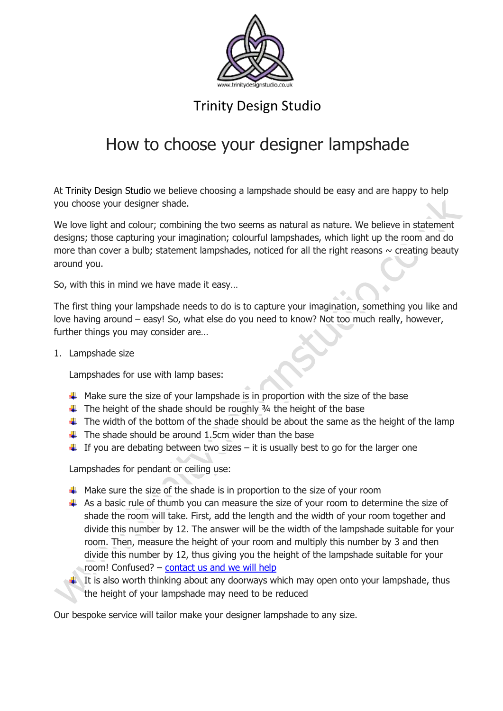

### Trinity Design Studio

# How to choose your designer lampshade

At [Trinity Design Studio](http://www.trinitydesignstudio.co.uk/) we believe choosing a lampshade should be easy and are happy to help you choose your designer shade.

We love light and colour; combining the two seems as natural as nature. We believe in statement designs; those capturing your imagination; colourful lampshades, which light up the room and do more than cover a bulb; statement lampshades, noticed for all the right reasons  $\sim$  creating beauty around you.

So, with this in mind we have made it easy…

The first thing your lampshade needs to do is to capture your imagination, something you like and love having around – easy! So, what else do you need to know? Not too much really, however, further things you may consider are…

1. Lampshade size

Lampshades for use with lamp bases:

- $\ddot{\phantom{1}}$  Make sure the size of your lampshade is in proportion with the size of the base
- $\ddot{\text{+}}$  The height of the shade should be roughly  $\frac{3}{4}$  the height of the base
- $\ddot{\phantom{1}}$  The width of the bottom of the shade should be about the same as the height of the lamp
- $\downarrow$  The shade should be around 1.5cm wider than the base
- $\ddot{\phantom{1}}$  If you are debating between two sizes it is usually best to go for the larger one

Lampshades for pendant or ceiling use:

- $\ddot{\bullet}$  Make sure the size of the shade is in proportion to the size of your room
- $\uparrow$  As a basic rule of thumb you can measure the size of your room to determine the size of shade the room will take. First, add the length and the width of your room together and divide this number by 12. The answer will be the width of the lampshade suitable for your room. Then, measure the height of your room and multiply this number by 3 and then divide this number by 12, thus giving you the height of the lampshade suitable for your room! Confused? – [contact us and we will help](http://www.trinitydesignstudio.co.uk/)
	- It is also worth thinking about any doorways which may open onto your lampshade, thus the height of your lampshade may need to be reduced

Our bespoke service will tailor make your designer lampshade to any size.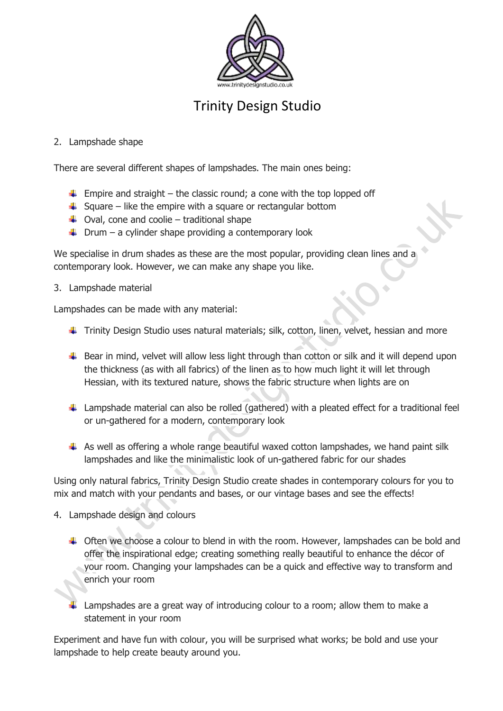

## Trinity Design Studio

#### 2. Lampshade shape

There are several different shapes of lampshades. The main ones being:

- $\ddot{\text{F}}$  Empire and straight the classic round; a cone with the top lopped off
- $\frac{1}{2}$  Square like the empire with a square or rectangular bottom
- $\downarrow$  Oval, cone and coolie traditional shape
- $\downarrow$  Drum a cylinder shape providing a contemporary look

We specialise in drum shades as these are the most popular, providing clean lines and a contemporary look. However, we can make any shape you like.

3. Lampshade material

Lampshades can be made with any material:

- Finity Design Studio uses natural materials; silk, cotton, linen, velvet, hessian and more
- $\ddot{\phantom{1}}$  Bear in mind, velvet will allow less light through than cotton or silk and it will depend upon the thickness (as with all fabrics) of the linen as to how much light it will let through Hessian, with its textured nature, shows the fabric structure when lights are on
- $\ddot{\phantom{1}}$  Lampshade material can also be rolled (gathered) with a pleated effect for a traditional feel or un-gathered for a modern, contemporary look
- $\uparrow$  As well as offering a whole range beautiful waxed cotton lampshades, we hand paint silk lampshades and like the minimalistic look of un-gathered fabric for our shades

Using only natural fabrics, Trinity Design Studio create shades in contemporary colours for you to mix and match with your pendants and bases, or our vintage bases and see the effects!

- 4. Lampshade design and colours
	- $\triangleq$  Often we choose a colour to blend in with the room. However, lampshades can be bold and offer the inspirational edge; creating something really beautiful to enhance the décor of your room. Changing your lampshades can be a quick and effective way to transform and enrich your room
	- Lampshades are a great way of introducing colour to a room; allow them to make a statement in your room

Experiment and have fun with colour, you will be surprised what works; be bold and use your lampshade to help create beauty around you.